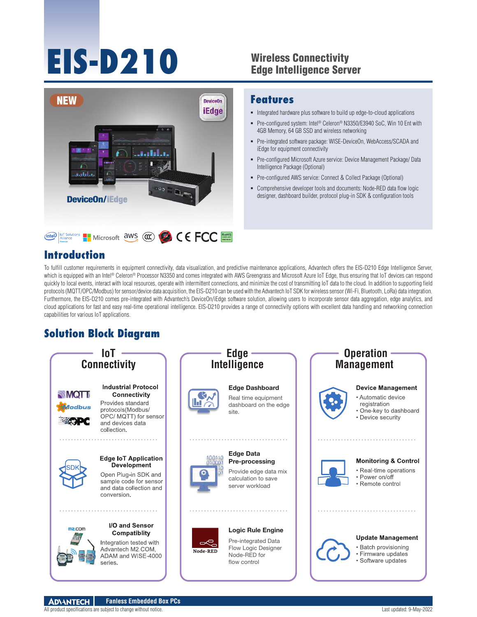# **EIS-D210**

#### Wireless Connectivity Edge Intelligence Server



#### **Introduction**

#### **Features**

- Integrated hardware plus software to build up edge-to-cloud applications
- Pre-configured system: Intel® Celeron® N3350/E3940 SoC, Win 10 Ent with 4GB Memory, 64 GB SSD and wireless networking
- Pre-integrated software package: WISE-DeviceOn, WebAccess/SCADA and iEdge for equipment connectivity
- Pre-configured Microsoft Azure service: Device Management Package/ Data Intelligence Package (Optional)
- Pre-configured AWS service: Connect & Collect Package (Optional)
- Comprehensive developer tools and documents: Node-RED data flow logic designer, dashboard builder, protocol plug-in SDK & configuration tools

To fulfill customer requirements in equipment connectivity, data visualization, and predictive maintenance applications, Advantech offers the EIS-D210 Edge Intelligence Server, which is equipped with an Intel® Celeron® Processor N3350 and comes integrated with AWS Greengrass and Microsoft Azure IoT Edge, thus ensuring that IoT devices can respond quickly to local events, interact with local resources, operate with intermittent connections, and minimize the cost of transmitting IoT data to the cloud. In addition to supporting field protocols (MQTT/OPC/Modbus) for sensor/device data acquisition, the EIS-D210 can be used with the Advantech IoT SDK for wireless sensor (Wi-Fi, Bluetooth, LoRa) data integration. Furthermore, the EIS-D210 comes pre-integrated with Advantech's DeviceOn/iEdge software solution, allowing users to incorporate sensor data aggregation, edge analytics, and cloud applications for fast and easy real-time operational intelligence. EIS-D210 provides a range of connectivity options with excellent data handling and networking connection capabilities for various IoT applications.

## **Solution Block Diagram**

series.

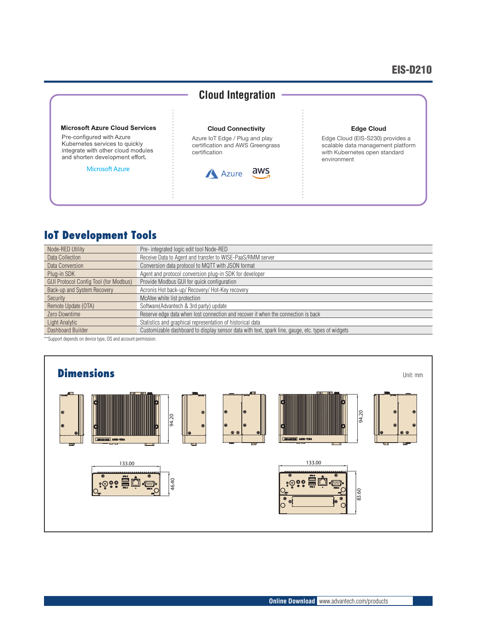#### EIS-D210



## **IoT Development Tools**

| Node-RED Utility                             | Pre- integrated logic edit tool Node-RED                                                          |
|----------------------------------------------|---------------------------------------------------------------------------------------------------|
| Data Collection                              | Receive Data to Agent and transfer to WISE-PaaS/RMM server                                        |
| Data Conversion                              | Conversion data protocol to MQTT with JSON format                                                 |
| Plug-in SDK                                  | Agent and protocol conversion plug-in SDK for developer                                           |
| <b>GUI Protocol Config Tool (for Modbus)</b> | Provide Modbus GUI for quick configuration                                                        |
| Back-up and System Recovery                  | Acronis Hot back-up/ Recovery/ Hot-Key recovery                                                   |
| Security                                     | McAfee white list protection                                                                      |
| Remote Update (OTA)                          | Software (Advantech & 3rd party) update                                                           |
| Zero Downtime                                | Reserve edge data when lost connection and recover it when the connection is back                 |
| Light Analytic                               | Statistics and graphical representation of historical data                                        |
| Dashboard Builder                            | Customizable dashboard to display sensor data with text, spark line, gauge, etc. types of widgets |

\*\*Support depends on device type, OS and account permission.